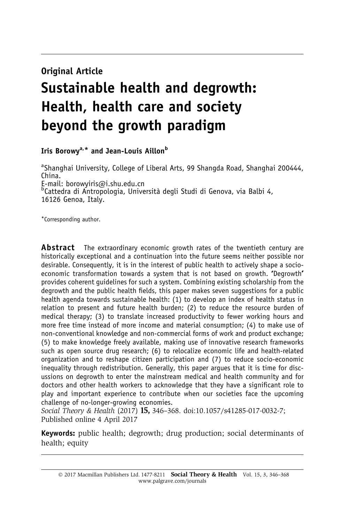# Original Article Sustainable health and degrowth: Health, health care and society beyond the growth paradigm

Iris Borowy<sup>a,\*</sup> and Jean-Louis Aillon<sup>b</sup>

<sup>a</sup>Shanghai University, College of Liberal Arts, 99 Shangda Road, Shanghai 200444, China. E-mail: borowyiris@i.shu.edu.cn <sup>b</sup>Cattedra di Antropologia, Università degli Studi di Genova, via Balbi 4, 16126 Genoa, Italy.

\*Corresponding author.

Abstract The extraordinary economic growth rates of the twentieth century are historically exceptional and a continuation into the future seems neither possible nor desirable. Consequently, it is in the interest of public health to actively shape a socioeconomic transformation towards a system that is not based on growth. 'Degrowth' provides coherent guidelines for such a system. Combining existing scholarship from the degrowth and the public health fields, this paper makes seven suggestions for a public health agenda towards sustainable health: (1) to develop an index of health status in relation to present and future health burden; (2) to reduce the resource burden of medical therapy; (3) to translate increased productivity to fewer working hours and more free time instead of more income and material consumption; (4) to make use of non-conventional knowledge and non-commercial forms of work and product exchange; (5) to make knowledge freely available, making use of innovative research frameworks such as open source drug research; (6) to relocalize economic life and health-related organization and to reshape citizen participation and (7) to reduce socio-economic inequality through redistribution. Generally, this paper argues that it is time for discussions on degrowth to enter the mainstream medical and health community and for doctors and other health workers to acknowledge that they have a significant role to play and important experience to contribute when our societies face the upcoming challenge of no-longer-growing economies.

Social Theory & Health (2017) 15, 346-368. doi:10.1057/s41285-017-0032-7; Published online 4 April 2017

Keywords: public health; degrowth; drug production; social determinants of health; equity

<sup>© 2017</sup> Macmillan Publishers Ltd. 1477-8211 Social Theory & Health Vol. 15, 3, 346–368 www.palgrave.com/journals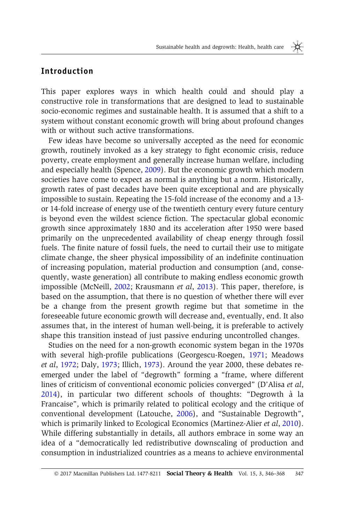#### Introduction

This paper explores ways in which health could and should play a constructive role in transformations that are designed to lead to sustainable socio-economic regimes and sustainable health. It is assumed that a shift to a system without constant economic growth will bring about profound changes with or without such active transformations.

Few ideas have become so universally accepted as the need for economic growth, routinely invoked as a key strategy to fight economic crisis, reduce poverty, create employment and generally increase human welfare, including and especially health (Spence, [2009\)](#page-21-0). But the economic growth which modern societies have come to expect as normal is anything but a norm. Historically, growth rates of past decades have been quite exceptional and are physically impossible to sustain. Repeating the 15-fold increase of the economy and a 13 or 14-fold increase of energy use of the twentieth century every future century is beyond even the wildest science fiction. The spectacular global economic growth since approximately 1830 and its acceleration after 1950 were based primarily on the unprecedented availability of cheap energy through fossil fuels. The finite nature of fossil fuels, the need to curtail their use to mitigate climate change, the sheer physical impossibility of an indefinite continuation of increasing population, material production and consumption (and, consequently, waste generation) all contribute to making endless economic growth impossible (McNeill, [2002](#page-20-0); Krausmann *et al*, [2013\)](#page-20-0). This paper, therefore, is based on the assumption, that there is no question of whether there will ever be a change from the present growth regime but that sometime in the foreseeable future economic growth will decrease and, eventually, end. It also assumes that, in the interest of human well-being, it is preferable to actively shape this transition instead of just passive enduring uncontrolled changes.

Studies on the need for a non-growth economic system began in the 1970s with several high-profile publications (Georgescu-Roegen, [1971;](#page-20-0) Meadows et al, [1972](#page-20-0); Daly, [1973;](#page-19-0) Illich, [1973\)](#page-20-0). Around the year 2000, these debates reemerged under the label of "degrowth" forming a "frame, where different lines of criticism of conventional economic policies converged'' (D'Alisa et al, [2014\)](#page-19-0), in particular two different schools of thoughts: "Degrowth à la Francaise'', which is primarily related to political ecology and the critique of conventional development (Latouche, [2006\)](#page-20-0), and ''Sustainable Degrowth'', which is primarily linked to Ecological Economics (Martinez-Alier et al, [2010](#page-20-0)). While differing substantially in details, all authors embrace in some way an idea of a ''democratically led redistributive downscaling of production and consumption in industrialized countries as a means to achieve environmental

<sup>© 2017</sup> Macmillan Publishers Ltd. 1477-8211 **Social Theory & Health** Vol. 15, 3, 346–368 347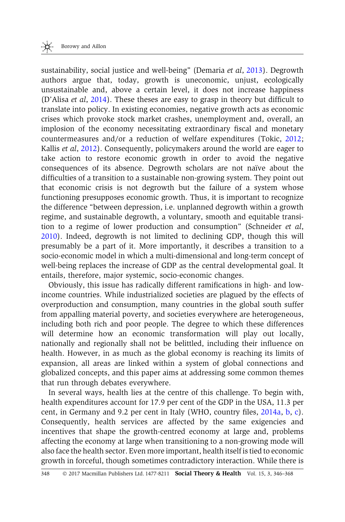sustainability, social justice and well-being'' (Demaria et al, [2013\)](#page-19-0). Degrowth authors argue that, today, growth is uneconomic, unjust, ecologically unsustainable and, above a certain level, it does not increase happiness (D'Alisa et al, [2014](#page-19-0)). These theses are easy to grasp in theory but difficult to translate into policy. In existing economies, negative growth acts as economic crises which provoke stock market crashes, unemployment and, overall, an implosion of the economy necessitating extraordinary fiscal and monetary countermeasures and/or a reduction of welfare expenditures (Tokic, [2012](#page-21-0); Kallis et al, [2012\)](#page-20-0). Consequently, policymakers around the world are eager to take action to restore economic growth in order to avoid the negative consequences of its absence. Degrowth scholars are not naïve about the difficulties of a transition to a sustainable non-growing system. They point out that economic crisis is not degrowth but the failure of a system whose functioning presupposes economic growth. Thus, it is important to recognize the difference ''between depression, i.e. unplanned degrowth within a growth regime, and sustainable degrowth, a voluntary, smooth and equitable transition to a regime of lower production and consumption'' (Schneider et al, [2010\)](#page-21-0). Indeed, degrowth is not limited to declining GDP, though this will presumably be a part of it. More importantly, it describes a transition to a socio-economic model in which a multi-dimensional and long-term concept of well-being replaces the increase of GDP as the central developmental goal. It entails, therefore, major systemic, socio-economic changes.

Obviously, this issue has radically different ramifications in high- and lowincome countries. While industrialized societies are plagued by the effects of overproduction and consumption, many countries in the global south suffer from appalling material poverty, and societies everywhere are heterogeneous, including both rich and poor people. The degree to which these differences will determine how an economic transformation will play out locally, nationally and regionally shall not be belittled, including their influence on health. However, in as much as the global economy is reaching its limits of expansion, all areas are linked within a system of global connections and globalized concepts, and this paper aims at addressing some common themes that run through debates everywhere.

In several ways, health lies at the centre of this challenge. To begin with, health expenditures account for 17.9 per cent of the GDP in the USA, 11.3 per cent, in Germany and 9.2 per cent in Italy (WHO, country files, [2014a,](#page-22-0) [b](#page-22-0), [c](#page-22-0)). Consequently, health services are affected by the same exigencies and incentives that shape the growth-centred economy at large and, problems affecting the economy at large when transitioning to a non-growing mode will also face the health sector. Even more important, health itself is tied to economic growth in forceful, though sometimes contradictory interaction. While there is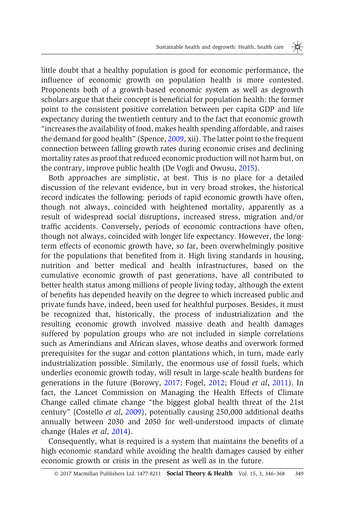little doubt that a healthy population is good for economic performance, the influence of economic growth on population health is more contested. Proponents both of a growth-based economic system as well as degrowth scholars argue that their concept is beneficial for population health: the former point to the consistent positive correlation between per capita GDP and life expectancy during the twentieth century and to the fact that economic growth ''increases the availability of food, makes health spending affordable, and raises the demand for good health'' (Spence, [2009](#page-21-0), xii). The latter point to the frequent connection between falling growth rates during economic crises and declining mortality rates as proof that reduced economic production will not harm but, on the contrary, improve public health (De Vogli and Owusu, [2015](#page-19-0)).

Both approaches are simplistic, at best. This is no place for a detailed discussion of the relevant evidence, but in very broad strokes, the historical record indicates the following: periods of rapid economic growth have often, though not always, coincided with heightened mortality, apparently as a result of widespread social disruptions, increased stress, migration and/or traffic accidents. Conversely, periods of economic contractions have often, though not always, coincided with longer life expectancy. However, the longterm effects of economic growth have, so far, been overwhelmingly positive for the populations that benefited from it. High living standards in housing, nutrition and better medical and health infrastructures, based on the cumulative economic growth of past generations, have all contributed to better health status among millions of people living today, although the extent of benefits has depended heavily on the degree to which increased public and private funds have, indeed, been used for healthful purposes. Besides, it must be recognized that, historically, the process of industrialization and the resulting economic growth involved massive death and health damages suffered by population groups who are not included in simple correlations such as Amerindians and African slaves, whose deaths and overwork formed prerequisites for the sugar and cotton plantations which, in turn, made early industrialization possible. Similarly, the enormous use of fossil fuels, which underlies economic growth today, will result in large-scale health burdens for generations in the future (Borowy, [2017;](#page-19-0) Fogel, [2012](#page-19-0); Floud et al, [2011\)](#page-19-0). In fact, the Lancet Commission on Managing the Health Effects of Climate Change called climate change ''the biggest global health threat of the 21st century'' (Costello et al, [2009](#page-19-0)), potentially causing 250,000 additional deaths annually between 2030 and 2050 for well-understood impacts of climate change (Hales et al, [2014\)](#page-20-0).

Consequently, what is required is a system that maintains the benefits of a high economic standard while avoiding the health damages caused by either economic growth or crisis in the present as well as in the future.

<sup>© 2017</sup> Macmillan Publishers Ltd. 1477-8211 **Social Theory & Health** Vol. 15, 3, 346–368 349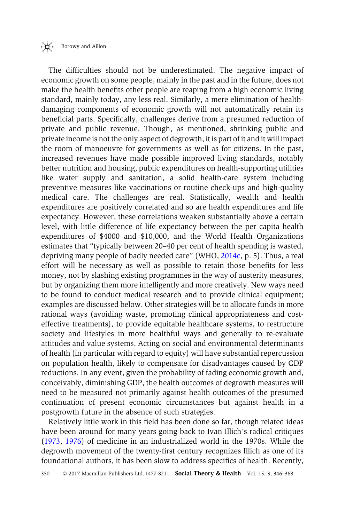The difficulties should not be underestimated. The negative impact of economic growth on some people, mainly in the past and in the future, does not make the health benefits other people are reaping from a high economic living standard, mainly today, any less real. Similarly, a mere elimination of healthdamaging components of economic growth will not automatically retain its beneficial parts. Specifically, challenges derive from a presumed reduction of private and public revenue. Though, as mentioned, shrinking public and private income is not the only aspect of degrowth, it is part of it and it will impact the room of manoeuvre for governments as well as for citizens. In the past, increased revenues have made possible improved living standards, notably better nutrition and housing, public expenditures on health-supporting utilities like water supply and sanitation, a solid health-care system including preventive measures like vaccinations or routine check-ups and high-quality medical care. The challenges are real. Statistically, wealth and health expenditures are positively correlated and so are health expenditures and life expectancy. However, these correlations weaken substantially above a certain level, with little difference of life expectancy between the per capita health expenditures of \$4000 and \$10,000, and the World Health Organizations estimates that ''typically between 20–40 per cent of health spending is wasted, depriving many people of badly needed care" (WHO, [2014c](#page-22-0), p. 5). Thus, a real effort will be necessary as well as possible to retain those benefits for less money, not by slashing existing programmes in the way of austerity measures, but by organizing them more intelligently and more creatively. New ways need to be found to conduct medical research and to provide clinical equipment; examples are discussed below. Other strategies will be to allocate funds in more rational ways (avoiding waste, promoting clinical appropriateness and costeffective treatments), to provide equitable healthcare systems, to restructure society and lifestyles in more healthful ways and generally to re-evaluate attitudes and value systems. Acting on social and environmental determinants of health (in particular with regard to equity) will have substantial repercussion on population health, likely to compensate for disadvantages caused by GDP reductions. In any event, given the probability of fading economic growth and, conceivably, diminishing GDP, the health outcomes of degrowth measures will need to be measured not primarily against health outcomes of the presumed continuation of present economic circumstances but against health in a postgrowth future in the absence of such strategies.

Relatively little work in this field has been done so far, though related ideas have been around for many years going back to Ivan Illich's radical critiques [\(1973,](#page-20-0) [1976\)](#page-20-0) of medicine in an industrialized world in the 1970s. While the degrowth movement of the twenty-first century recognizes Illich as one of its foundational authors, it has been slow to address specifics of health. Recently,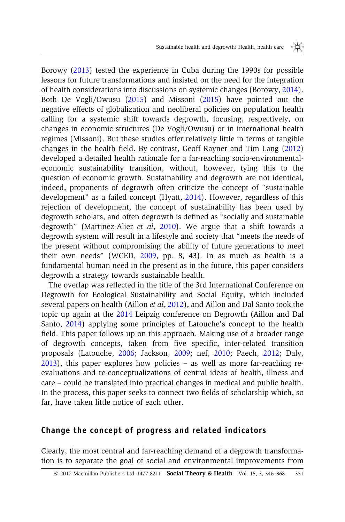Borowy ([2013\)](#page-19-0) tested the experience in Cuba during the 1990s for possible lessons for future transformations and insisted on the need for the integration of health considerations into discussions on systemic changes (Borowy, [2014](#page-19-0)). Both De Vogli/Owusu [\(2015](#page-19-0)) and Missoni [\(2015\)](#page-20-0) have pointed out the negative effects of globalization and neoliberal policies on population health calling for a systemic shift towards degrowth, focusing, respectively, on changes in economic structures (De Vogli/Owusu) or in international health regimes (Missoni). But these studies offer relatively little in terms of tangible changes in the health field. By contrast, Geoff Rayner and Tim Lang ([2012](#page-21-0)) developed a detailed health rationale for a far-reaching socio-environmentaleconomic sustainability transition, without, however, tying this to the question of economic growth. Sustainability and degrowth are not identical, indeed, proponents of degrowth often criticize the concept of ''sustainable development" as a failed concept (Hyatt, [2014\)](#page-20-0). However, regardless of this rejection of development, the concept of sustainability has been used by degrowth scholars, and often degrowth is defined as ''socially and sustainable degrowth'' (Martinez-Alier et al, [2010](#page-20-0)). We argue that a shift towards a degrowth system will result in a lifestyle and society that ''meets the needs of the present without compromising the ability of future generations to meet their own needs'' (WCED, [2009](#page-21-0), pp. 8, 43). In as much as health is a fundamental human need in the present as in the future, this paper considers degrowth a strategy towards sustainable health.

The overlap was reflected in the title of the 3rd International Conference on Degrowth for Ecological Sustainability and Social Equity, which included several papers on health (Aillon et al, [2012](#page-18-0)), and Aillon and Dal Santo took the topic up again at the [2014](#page-18-0) Leipzig conference on Degrowth (Aillon and Dal Santo, [2014](#page-18-0)) applying some principles of Latouche's concept to the health field. This paper follows up on this approach. Making use of a broader range of degrowth concepts, taken from five specific, inter-related transition proposals (Latouche, [2006](#page-20-0); Jackson, [2009](#page-20-0); nef, [2010](#page-21-0); Paech, [2012;](#page-21-0) Daly, [2013\)](#page-19-0), this paper explores how policies – as well as more far-reaching reevaluations and re-conceptualizations of central ideas of health, illness and care – could be translated into practical changes in medical and public health. In the process, this paper seeks to connect two fields of scholarship which, so far, have taken little notice of each other.

#### Change the concept of progress and related indicators

Clearly, the most central and far-reaching demand of a degrowth transformation is to separate the goal of social and environmental improvements from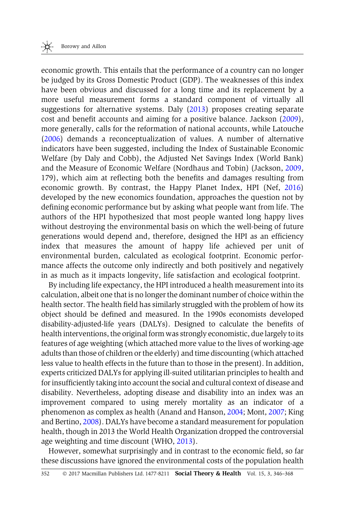economic growth. This entails that the performance of a country can no longer be judged by its Gross Domestic Product (GDP). The weaknesses of this index have been obvious and discussed for a long time and its replacement by a more useful measurement forms a standard component of virtually all suggestions for alternative systems. Daly [\(2013\)](#page-19-0) proposes creating separate cost and benefit accounts and aiming for a positive balance. Jackson ([2009](#page-20-0)), more generally, calls for the reformation of national accounts, while Latouche [\(2006\)](#page-20-0) demands a reconceptualization of values. A number of alternative indicators have been suggested, including the Index of Sustainable Economic Welfare (by Daly and Cobb), the Adjusted Net Savings Index (World Bank) and the Measure of Economic Welfare (Nordhaus and Tobin) (Jackson, [2009](#page-20-0), 179), which aim at reflecting both the benefits and damages resulting from economic growth. By contrast, the Happy Planet Index, HPI (Nef, [2016](#page-21-0)) developed by the new economics foundation, approaches the question not by defining economic performance but by asking what people want from life. The authors of the HPI hypothesized that most people wanted long happy lives without destroying the environmental basis on which the well-being of future generations would depend and, therefore, designed the HPI as an efficiency index that measures the amount of happy life achieved per unit of environmental burden, calculated as ecological footprint. Economic performance affects the outcome only indirectly and both positively and negatively in as much as it impacts longevity, life satisfaction and ecological footprint.

By including life expectancy, the HPI introduced a health measurement into its calculation, albeit one that is no longer the dominant number of choice within the health sector. The health field has similarly struggled with the problem of how its object should be defined and measured. In the 1990s economists developed disability-adjusted-life years (DALYs). Designed to calculate the benefits of health interventions, the original form was strongly economistic, due largely to its features of age weighting (which attached more value to the lives of working-age adults than those of children or the elderly) and time discounting (which attached less value to health effects in the future than to those in the present). In addition, experts criticized DALYs for applying ill-suited utilitarian principles to health and for insufficiently taking into account the social and cultural context of disease and disability. Nevertheless, adopting disease and disability into an index was an improvement compared to using merely mortality as an indicator of a phenomenon as complex as health (Anand and Hanson, [2004;](#page-18-0) Mont, [2007](#page-20-0); King and Bertino, [2008\)](#page-20-0). DALYs have become a standard measurement for population health, though in 2013 the World Health Organization dropped the controversial age weighting and time discount (WHO, [2013](#page-21-0)).

However, somewhat surprisingly and in contrast to the economic field, so far these discussions have ignored the environmental costs of the population health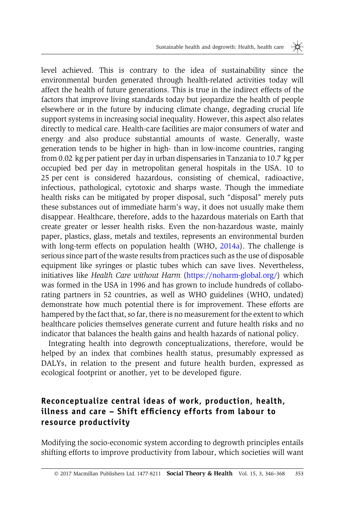level achieved. This is contrary to the idea of sustainability since the environmental burden generated through health-related activities today will affect the health of future generations. This is true in the indirect effects of the factors that improve living standards today but jeopardize the health of people elsewhere or in the future by inducing climate change, degrading crucial life support systems in increasing social inequality. However, this aspect also relates directly to medical care. Health-care facilities are major consumers of water and energy and also produce substantial amounts of waste. Generally, waste generation tends to be higher in high- than in low-income countries, ranging from 0.02 kg per patient per day in urban dispensaries in Tanzania to 10.7 kg per occupied bed per day in metropolitan general hospitals in the USA. 10 to 25 per cent is considered hazardous, consisting of chemical, radioactive, infectious, pathological, cytotoxic and sharps waste. Though the immediate health risks can be mitigated by proper disposal, such "disposal" merely puts these substances out of immediate harm's way, it does not usually make them disappear. Healthcare, therefore, adds to the hazardous materials on Earth that create greater or lesser health risks. Even the non-hazardous waste, mainly paper, plastics, glass, metals and textiles, represents an environmental burden with long-term effects on population health (WHO, [2014a](#page-22-0)). The challenge is serious since part of the waste results from practices such as the use of disposable equipment like syringes or plastic tubes which can save lives. Nevertheless, initiatives like Health Care without Harm (<https://noharm-global.org/>) which was formed in the USA in 1996 and has grown to include hundreds of collaborating partners in 52 countries, as well as WHO guidelines (WHO, undated) demonstrate how much potential there is for improvement. These efforts are hampered by the fact that, so far, there is no measurement for the extent to which healthcare policies themselves generate current and future health risks and no indicator that balances the health gains and health hazards of national policy.

Integrating health into degrowth conceptualizations, therefore, would be helped by an index that combines health status, presumably expressed as DALYs, in relation to the present and future health burden, expressed as ecological footprint or another, yet to be developed figure.

## Reconceptualize central ideas of work, production, health, illness and care – Shift efficiency efforts from labour to resource productivity

Modifying the socio-economic system according to degrowth principles entails shifting efforts to improve productivity from labour, which societies will want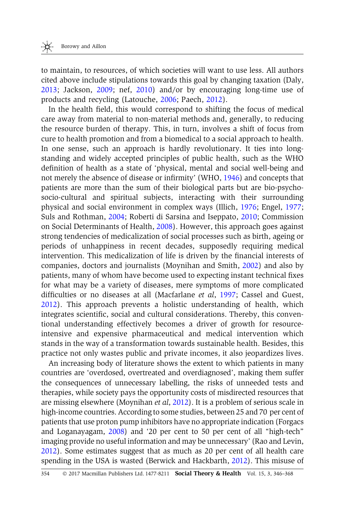to maintain, to resources, of which societies will want to use less. All authors cited above include stipulations towards this goal by changing taxation (Daly, [2013;](#page-19-0) Jackson, [2009;](#page-20-0) nef, [2010](#page-21-0)) and/or by encouraging long-time use of products and recycling (Latouche, [2006;](#page-20-0) Paech, [2012](#page-21-0)).

In the health field, this would correspond to shifting the focus of medical care away from material to non-material methods and, generally, to reducing the resource burden of therapy. This, in turn, involves a shift of focus from cure to health promotion and from a biomedical to a social approach to health. In one sense, such an approach is hardly revolutionary. It ties into longstanding and widely accepted principles of public health, such as the WHO definition of health as a state of 'physical, mental and social well-being and not merely the absence of disease or infirmity' (WHO, [1946](#page-21-0)) and concepts that patients are more than the sum of their biological parts but are bio-psychosocio-cultural and spiritual subjects, interacting with their surrounding physical and social environment in complex ways (Illich, [1976;](#page-20-0) Engel, [1977](#page-19-0); Suls and Rothman, [2004;](#page-21-0) Roberti di Sarsina and Iseppato, [2010;](#page-21-0) Commission on Social Determinants of Health, [2008\)](#page-19-0). However, this approach goes against strong tendencies of medicalization of social processes such as birth, ageing or periods of unhappiness in recent decades, supposedly requiring medical intervention. This medicalization of life is driven by the financial interests of companies, doctors and journalists (Moynihan and Smith, [2002](#page-20-0)) and also by patients, many of whom have become used to expecting instant technical fixes for what may be a variety of diseases, mere symptoms of more complicated difficulties or no diseases at all (Macfarlane et al, [1997](#page-20-0); Cassel and Guest, [2012\)](#page-19-0). This approach prevents a holistic understanding of health, which integrates scientific, social and cultural considerations. Thereby, this conventional understanding effectively becomes a driver of growth for resourceintensive and expensive pharmaceutical and medical intervention which stands in the way of a transformation towards sustainable health. Besides, this practice not only wastes public and private incomes, it also jeopardizes lives.

An increasing body of literature shows the extent to which patients in many countries are 'overdosed, overtreated and overdiagnosed', making them suffer the consequences of unnecessary labelling, the risks of unneeded tests and therapies, while society pays the opportunity costs of misdirected resources that are missing elsewhere (Moynihan et al, [2012](#page-20-0)). It is a problem of serious scale in high-income countries. According to some studies, between 25 and 70 per cent of patients that use proton pump inhibitors have no appropriate indication (Forgacs and Loganayagam, [2008](#page-19-0)) and '20 per cent to 50 per cent of all ''high-tech'' imaging provide no useful information and may be unnecessary' (Rao and Levin, [2012](#page-21-0)). Some estimates suggest that as much as 20 per cent of all health care spending in the USA is wasted (Berwick and Hackbarth, [2012](#page-19-0)). This misuse of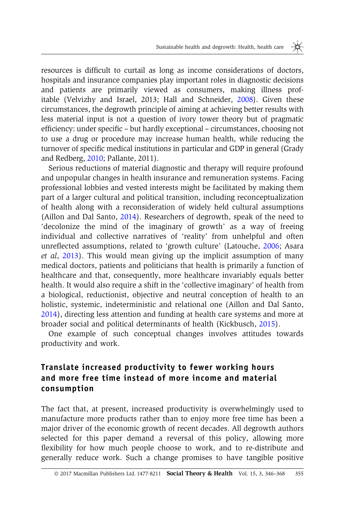resources is difficult to curtail as long as income considerations of doctors, hospitals and insurance companies play important roles in diagnostic decisions and patients are primarily viewed as consumers, making illness profitable (Velvizhy and Israel, 2013; Hall and Schneider, [2008](#page-20-0)). Given these circumstances, the degrowth principle of aiming at achieving better results with less material input is not a question of ivory tower theory but of pragmatic efficiency: under specific – but hardly exceptional – circumstances, choosing not to use a drug or procedure may increase human health, while reducing the turnover of specific medical institutions in particular and GDP in general (Grady and Redberg, [2010](#page-20-0); Pallante, 2011).

Serious reductions of material diagnostic and therapy will require profound and unpopular changes in health insurance and remuneration systems. Facing professional lobbies and vested interests might be facilitated by making them part of a larger cultural and political transition, including reconceptualization of health along with a reconsideration of widely held cultural assumptions (Aillon and Dal Santo, [2014\)](#page-18-0). Researchers of degrowth, speak of the need to 'decolonize the mind of the imaginary of growth' as a way of freeing individual and collective narratives of 'reality' from unhelpful and often unreflected assumptions, related to 'growth culture' (Latouche, [2006;](#page-20-0) Asara et al, [2013](#page-19-0)). This would mean giving up the implicit assumption of many medical doctors, patients and politicians that health is primarily a function of healthcare and that, consequently, more healthcare invariably equals better health. It would also require a shift in the 'collective imaginary' of health from a biological, reductionist, objective and neutral conception of health to an holistic, systemic, indeterministic and relational one (Aillon and Dal Santo, [2014\)](#page-18-0), directing less attention and funding at health care systems and more at broader social and political determinants of health (Kickbusch, [2015\)](#page-20-0).

One example of such conceptual changes involves attitudes towards productivity and work.

#### Translate increased productivity to fewer working hours and more free time instead of more income and material consumption

The fact that, at present, increased productivity is overwhelmingly used to manufacture more products rather than to enjoy more free time has been a major driver of the economic growth of recent decades. All degrowth authors selected for this paper demand a reversal of this policy, allowing more flexibility for how much people choose to work, and to re-distribute and generally reduce work. Such a change promises to have tangible positive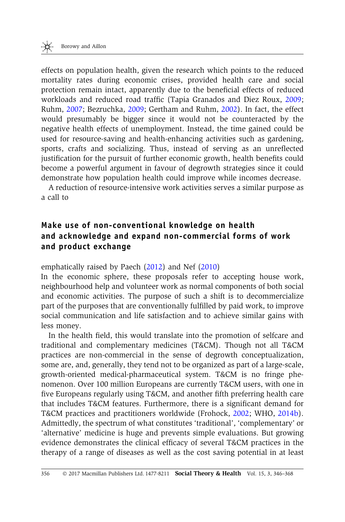effects on population health, given the research which points to the reduced mortality rates during economic crises, provided health care and social protection remain intact, apparently due to the beneficial effects of reduced workloads and reduced road traffic (Tapia Granados and Diez Roux, [2009](#page-21-0); Ruhm, [2007](#page-21-0); Bezruchka, [2009](#page-19-0); Gertham and Ruhm, [2002](#page-20-0)). In fact, the effect would presumably be bigger since it would not be counteracted by the negative health effects of unemployment. Instead, the time gained could be used for resource-saving and health-enhancing activities such as gardening, sports, crafts and socializing. Thus, instead of serving as an unreflected justification for the pursuit of further economic growth, health benefits could become a powerful argument in favour of degrowth strategies since it could demonstrate how population health could improve while incomes decrease.

A reduction of resource-intensive work activities serves a similar purpose as a call to

### Make use of non-conventional knowledge on health and acknowledge and expand non-commercial forms of work and product exchange

#### emphatically raised by Paech ([2012](#page-21-0)) and Nef [\(2010](#page-21-0))

In the economic sphere, these proposals refer to accepting house work, neighbourhood help and volunteer work as normal components of both social and economic activities. The purpose of such a shift is to decommercialize part of the purposes that are conventionally fulfilled by paid work, to improve social communication and life satisfaction and to achieve similar gains with less money.

In the health field, this would translate into the promotion of selfcare and traditional and complementary medicines (T&CM). Though not all T&CM practices are non-commercial in the sense of degrowth conceptualization, some are, and, generally, they tend not to be organized as part of a large-scale, growth-oriented medical-pharmaceutical system. T&CM is no fringe phenomenon. Over 100 million Europeans are currently T&CM users, with one in five Europeans regularly using T&CM, and another fifth preferring health care that includes T&CM features. Furthermore, there is a significant demand for T&CM practices and practitioners worldwide (Frohock, [2002](#page-19-0); WHO, [2014b](#page-22-0)). Admittedly, the spectrum of what constitutes 'traditional', 'complementary' or 'alternative' medicine is huge and prevents simple evaluations. But growing evidence demonstrates the clinical efficacy of several T&CM practices in the therapy of a range of diseases as well as the cost saving potential in at least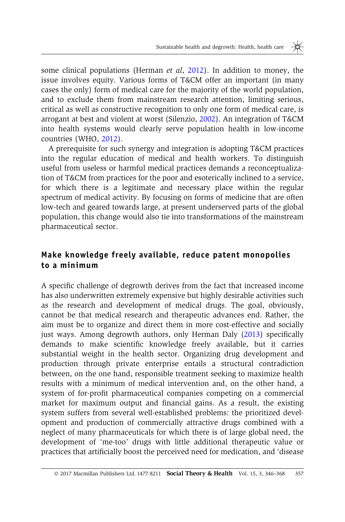some clinical populations (Herman *et al.* [2012\)](#page-20-0). In addition to money, the issue involves equity. Various forms of T&CM offer an important (in many cases the only) form of medical care for the majority of the world population, and to exclude them from mainstream research attention, limiting serious, critical as well as constructive recognition to only one form of medical care, is arrogant at best and violent at worst (Silenzio, [2002\)](#page-21-0). An integration of T&CM into health systems would clearly serve population health in low-income countries (WHO, [2012\)](#page-21-0).

A prerequisite for such synergy and integration is adopting T&CM practices into the regular education of medical and health workers. To distinguish useful from useless or harmful medical practices demands a reconceptualization of T&CM from practices for the poor and esoterically inclined to a service, for which there is a legitimate and necessary place within the regular spectrum of medical activity. By focusing on forms of medicine that are often low-tech and geared towards large, at present underserved parts of the global population, this change would also tie into transformations of the mainstream pharmaceutical sector.

#### Make knowledge freely available, reduce patent monopolies to a minimum

A specific challenge of degrowth derives from the fact that increased income has also underwritten extremely expensive but highly desirable activities such as the research and development of medical drugs. The goal, obviously, cannot be that medical research and therapeutic advances end. Rather, the aim must be to organize and direct them in more cost-effective and socially just ways. Among degrowth authors, only Herman Daly ([2013](#page-19-0)) specifically demands to make scientific knowledge freely available, but it carries substantial weight in the health sector. Organizing drug development and production through private enterprise entails a structural contradiction between, on the one hand, responsible treatment seeking to maximize health results with a minimum of medical intervention and, on the other hand, a system of for-profit pharmaceutical companies competing on a commercial market for maximum output and financial gains. As a result, the existing system suffers from several well-established problems: the prioritized development and production of commercially attractive drugs combined with a neglect of many pharmaceuticals for which there is of large global need, the development of 'me-too' drugs with little additional therapeutic value or practices that artificially boost the perceived need for medication, and 'disease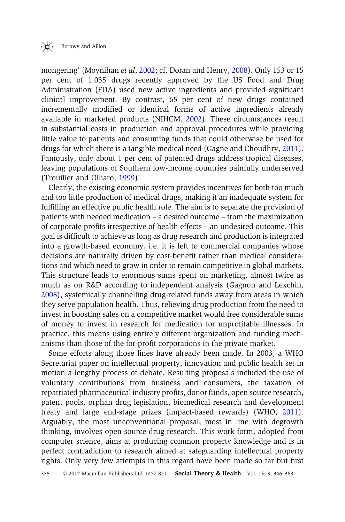mongering' (Moynihan et al, [2002;](#page-20-0) cf. Doran and Henry, [2008\)](#page-19-0). Only 153 or 15 per cent of 1.035 drugs recently approved by the US Food and Drug Administration (FDA) used new active ingredients and provided significant clinical improvement. By contrast, 65 per cent of new drugs contained incrementally modified or identical forms of active ingredients already available in marketed products (NIHCM, [2002](#page-21-0)). These circumstances result in substantial costs in production and approval procedures while providing little value to patients and consuming funds that could otherwise be used for drugs for which there is a tangible medical need (Gagne and Choudhry, [2011](#page-19-0)). Famously, only about 1 per cent of patented drugs address tropical diseases, leaving populations of Southern low-income countries painfully underserved (Trouiller and Olliaro, [1999\)](#page-21-0).

Clearly, the existing economic system provides incentives for both too much and too little production of medical drugs, making it an inadequate system for fulfilling an effective public health role. The aim is to separate the provision of patients with needed medication – a desired outcome – from the maximization of corporate profits irrespective of health effects – an undesired outcome. This goal is difficult to achieve as long as drug research and production is integrated into a growth-based economy, i.e. it is left to commercial companies whose decisions are naturally driven by cost-benefit rather than medical considerations and which need to grow in order to remain competitive in global markets. This structure leads to enormous sums spent on marketing, almost twice as much as on R&D according to independent analysis (Gagnon and Lexchin, [2008\)](#page-19-0), systemically channelling drug-related funds away from areas in which they serve population health. Thus, relieving drug production from the need to invest in boosting sales on a competitive market would free considerable sums of money to invest in research for medication for unprofitable illnesses. In practice, this means using entirely different organization and funding mechanisms than those of the for-profit corporations in the private market.

Some efforts along those lines have already been made. In 2003, a WHO Secretariat paper on intellectual property, innovation and public health set in motion a lengthy process of debate. Resulting proposals included the use of voluntary contributions from business and consumers, the taxation of repatriated pharmaceutical industry profits, donor funds, open source research, patent pools, orphan drug legislation, biomedical research and development treaty and large end-stage prizes (impact-based rewards) (WHO, [2011](#page-21-0)). Arguably, the most unconventional proposal, most in line with degrowth thinking, involves open source drug research. This work form, adopted from computer science, aims at producing common property knowledge and is in perfect contradiction to research aimed at safeguarding intellectual property rights. Only very few attempts in this regard have been made so far but first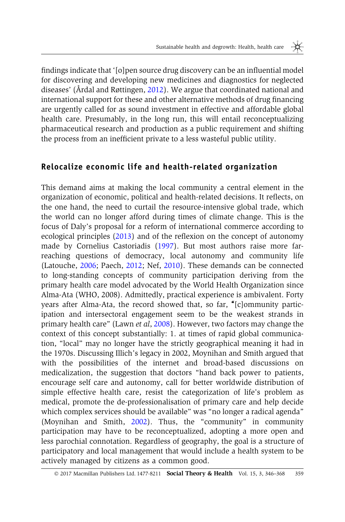findings indicate that '[o]pen source drug discovery can be an influential model for discovering and developing new medicines and diagnostics for neglected diseases' (Årdal and Røttingen, [2012](#page-18-0)). We argue that coordinated national and international support for these and other alternative methods of drug financing are urgently called for as sound investment in effective and affordable global health care. Presumably, in the long run, this will entail reconceptualizing pharmaceutical research and production as a public requirement and shifting the process from an inefficient private to a less wasteful public utility.

#### Relocalize economic life and health-related organization

This demand aims at making the local community a central element in the organization of economic, political and health-related decisions. It reflects, on the one hand, the need to curtail the resource-intensive global trade, which the world can no longer afford during times of climate change. This is the focus of Daly's proposal for a reform of international commerce according to ecological principles [\(2013\)](#page-19-0) and of the reflexion on the concept of autonomy made by Cornelius Castoriadis ([1997](#page-19-0)). But most authors raise more farreaching questions of democracy, local autonomy and community life (Latouche, [2006;](#page-20-0) Paech, [2012](#page-21-0); Nef, [2010](#page-21-0)). These demands can be connected to long-standing concepts of community participation deriving from the primary health care model advocated by the World Health Organization since Alma-Ata (WHO, 2008). Admittedly, practical experience is ambivalent. Forty years after Alma-Ata, the record showed that, so far, "[c]ommunity participation and intersectoral engagement seem to be the weakest strands in primary health care" (Lawn et al, [2008\)](#page-20-0). However, two factors may change the context of this concept substantially: 1. at times of rapid global communication, ''local'' may no longer have the strictly geographical meaning it had in the 1970s. Discussing Illich's legacy in 2002, Moynihan and Smith argued that with the possibilities of the internet and broad-based discussions on medicalization, the suggestion that doctors ''hand back power to patients, encourage self care and autonomy, call for better worldwide distribution of simple effective health care, resist the categorization of life's problem as medical, promote the de-professionalisation of primary care and help decide which complex services should be available'' was ''no longer a radical agenda'' (Moynihan and Smith, [2002\)](#page-20-0). Thus, the ''community'' in community participation may have to be reconceptualized, adopting a more open and less parochial connotation. Regardless of geography, the goal is a structure of participatory and local management that would include a health system to be actively managed by citizens as a common good.

<sup>© 2017</sup> Macmillan Publishers Ltd. 1477-8211 **Social Theory & Health** Vol. 15, 3, 346–368 359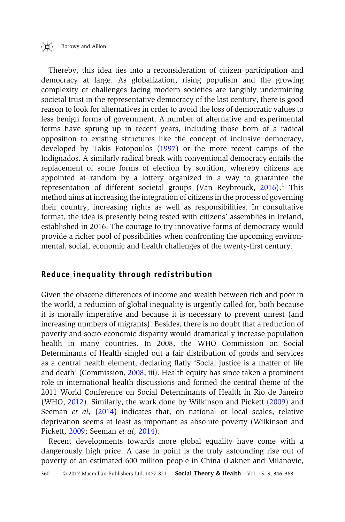Thereby, this idea ties into a reconsideration of citizen participation and democracy at large. As globalization, rising populism and the growing complexity of challenges facing modern societies are tangibly undermining societal trust in the representative democracy of the last century, there is good reason to look for alternatives in order to avoid the loss of democratic values to less benign forms of government. A number of alternative and experimental forms have sprung up in recent years, including those born of a radical opposition to existing structures like the concept of inclusive democracy, developed by Takis Fotopoulos ([1997](#page-19-0)) or the more recent camps of the Indignados. A similarly radical break with conventional democracy entails the replacement of some forms of election by sortition, whereby citizens are appointed at random by a lottery organized in a way to guarantee the representation of different societal groups (Van Reybrouck,  $2016$ ).<sup>1</sup> This method aims at increasing the integration of citizens in the process of governing their country, increasing rights as well as responsibilities. In consultative format, the idea is presently being tested with citizens' assemblies in Ireland, established in 2016. The courage to try innovative forms of democracy would provide a richer pool of possibilities when confronting the upcoming environmental, social, economic and health challenges of the twenty-first century.

#### Reduce inequality through redistribution

Given the obscene differences of income and wealth between rich and poor in the world, a reduction of global inequality is urgently called for, both because it is morally imperative and because it is necessary to prevent unrest (and increasing numbers of migrants). Besides, there is no doubt that a reduction of poverty and socio-economic disparity would dramatically increase population health in many countries. In 2008, the WHO Commission on Social Determinants of Health singled out a fair distribution of goods and services as a central health element, declaring flatly 'Social justice is a matter of life and death' (Commission, [2008](#page-19-0), iii). Health equity has since taken a prominent role in international health discussions and formed the central theme of the 2011 World Conference on Social Determinants of Health in Rio de Janeiro (WHO, [2012\)](#page-21-0). Similarly, the work done by Wilkinson and Pickett [\(2009\)](#page-22-0) and Seeman *et al.* [\(2014](#page-21-0)) indicates that, on national or local scales, relative deprivation seems at least as important as absolute poverty (Wilkinson and Pickett, [2009](#page-22-0); Seeman et al, [2014](#page-21-0)).

Recent developments towards more global equality have come with a dangerously high price. A case in point is the truly astounding rise out of poverty of an estimated 600 million people in China (Lakner and Milanovic,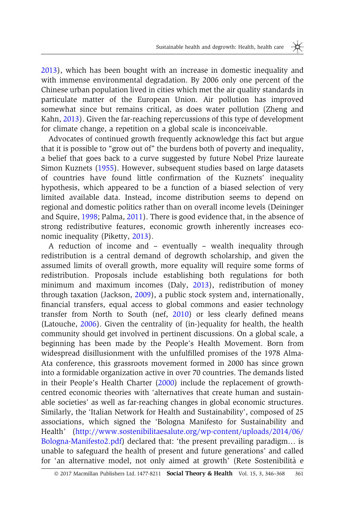[2013\)](#page-20-0), which has been bought with an increase in domestic inequality and with immense environmental degradation. By 2006 only one percent of the Chinese urban population lived in cities which met the air quality standards in particulate matter of the European Union. Air pollution has improved somewhat since but remains critical, as does water pollution (Zheng and Kahn, [2013](#page-22-0)). Given the far-reaching repercussions of this type of development for climate change, a repetition on a global scale is inconceivable.

Advocates of continued growth frequently acknowledge this fact but argue that it is possible to "grow out of" the burdens both of poverty and inequality, a belief that goes back to a curve suggested by future Nobel Prize laureate Simon Kuznets ([1955](#page-20-0)). However, subsequent studies based on large datasets of countries have found little confirmation of the Kuznets' inequality hypothesis, which appeared to be a function of a biased selection of very limited available data. Instead, income distribution seems to depend on regional and domestic politics rather than on overall income levels (Deininger and Squire, [1998](#page-19-0); Palma, [2011](#page-21-0)). There is good evidence that, in the absence of strong redistributive features, economic growth inherently increases economic inequality (Piketty, [2013](#page-21-0)).

A reduction of income and – eventually – wealth inequality through redistribution is a central demand of degrowth scholarship, and given the assumed limits of overall growth, more equality will require some forms of redistribution. Proposals include establishing both regulations for both minimum and maximum incomes (Daly, [2013](#page-19-0)), redistribution of money through taxation (Jackson, [2009](#page-20-0)), a public stock system and, internationally, financial transfers, equal access to global commons and easier technology transfer from North to South (nef, [2010](#page-21-0)) or less clearly defined means (Latouche, [2006\)](#page-20-0). Given the centrality of (in-)equality for health, the health community should get involved in pertinent discussions. On a global scale, a beginning has been made by the People's Health Movement. Born from widespread disillusionment with the unfulfilled promises of the 1978 Alma-Ata conference, this grassroots movement formed in 2000 has since grown into a formidable organization active in over 70 countries. The demands listed in their People's Health Charter ([2000\)](#page-21-0) include the replacement of growthcentred economic theories with 'alternatives that create human and sustainable societies' as well as far-reaching changes in global economic structures. Similarly, the 'Italian Network for Health and Sustainability', composed of 25 associations, which signed the 'Bologna Manifesto for Sustainability and Health' [\(http://www.sostenibilitaesalute.org/wp-content/uploads/2014/06/](http://www.sostenibilitaesalute.org/wp-content/uploads/2014/06/Bologna-Manifesto2.pdf) [Bologna-Manifesto2.pdf](http://www.sostenibilitaesalute.org/wp-content/uploads/2014/06/Bologna-Manifesto2.pdf)) declared that: 'the present prevailing paradigm… is unable to safeguard the health of present and future generations' and called for 'an alternative model, not only aimed at growth' (Rete Sostenibilità e

<sup>© 2017</sup> Macmillan Publishers Ltd. 1477-8211 **Social Theory & Health** Vol. 15, 3, 346–368 361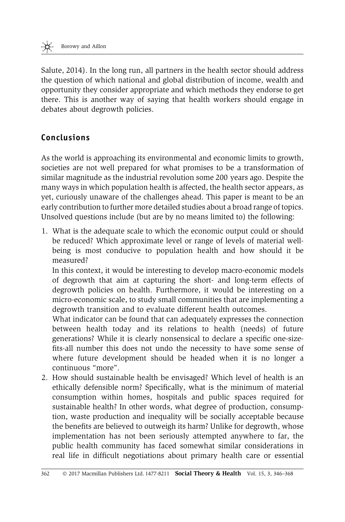Salute, 2014). In the long run, all partners in the health sector should address the question of which national and global distribution of income, wealth and opportunity they consider appropriate and which methods they endorse to get there. This is another way of saying that health workers should engage in debates about degrowth policies.

# Conclusions

As the world is approaching its environmental and economic limits to growth, societies are not well prepared for what promises to be a transformation of similar magnitude as the industrial revolution some 200 years ago. Despite the many ways in which population health is affected, the health sector appears, as yet, curiously unaware of the challenges ahead. This paper is meant to be an early contribution to further more detailed studies about a broad range of topics. Unsolved questions include (but are by no means limited to) the following:

1. What is the adequate scale to which the economic output could or should be reduced? Which approximate level or range of levels of material wellbeing is most conducive to population health and how should it be measured?

In this context, it would be interesting to develop macro-economic models of degrowth that aim at capturing the short- and long-term effects of degrowth policies on health. Furthermore, it would be interesting on a micro-economic scale, to study small communities that are implementing a degrowth transition and to evaluate different health outcomes.

What indicator can be found that can adequately expresses the connection between health today and its relations to health (needs) of future generations? While it is clearly nonsensical to declare a specific one-sizefits-all number this does not undo the necessity to have some sense of where future development should be headed when it is no longer a continuous "more".

2. How should sustainable health be envisaged? Which level of health is an ethically defensible norm? Specifically, what is the minimum of material consumption within homes, hospitals and public spaces required for sustainable health? In other words, what degree of production, consumption, waste production and inequality will be socially acceptable because the benefits are believed to outweigh its harm? Unlike for degrowth, whose implementation has not been seriously attempted anywhere to far, the public health community has faced somewhat similar considerations in real life in difficult negotiations about primary health care or essential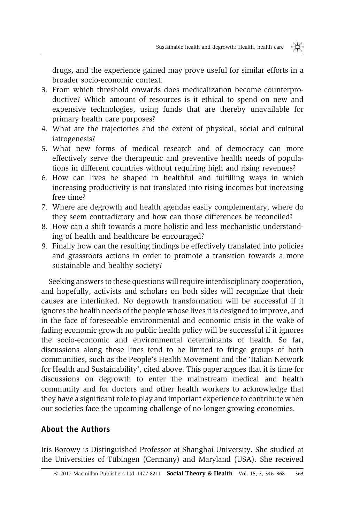¥€

drugs, and the experience gained may prove useful for similar efforts in a broader socio-economic context.

- 3. From which threshold onwards does medicalization become counterproductive? Which amount of resources is it ethical to spend on new and expensive technologies, using funds that are thereby unavailable for primary health care purposes?
- 4. What are the trajectories and the extent of physical, social and cultural iatrogenesis?
- 5. What new forms of medical research and of democracy can more effectively serve the therapeutic and preventive health needs of populations in different countries without requiring high and rising revenues?
- 6. How can lives be shaped in healthful and fulfilling ways in which increasing productivity is not translated into rising incomes but increasing free time?
- 7. Where are degrowth and health agendas easily complementary, where do they seem contradictory and how can those differences be reconciled?
- 8. How can a shift towards a more holistic and less mechanistic understanding of health and healthcare be encouraged?
- 9. Finally how can the resulting findings be effectively translated into policies and grassroots actions in order to promote a transition towards a more sustainable and healthy society?

Seeking answers to these questions will require interdisciplinary cooperation, and hopefully, activists and scholars on both sides will recognize that their causes are interlinked. No degrowth transformation will be successful if it ignores the health needs of the people whose lives it is designed to improve, and in the face of foreseeable environmental and economic crisis in the wake of fading economic growth no public health policy will be successful if it ignores the socio-economic and environmental determinants of health. So far, discussions along those lines tend to be limited to fringe groups of both communities, such as the People's Health Movement and the 'Italian Network for Health and Sustainability', cited above. This paper argues that it is time for discussions on degrowth to enter the mainstream medical and health community and for doctors and other health workers to acknowledge that they have a significant role to play and important experience to contribute when our societies face the upcoming challenge of no-longer growing economies.

#### About the Authors

Iris Borowy is Distinguished Professor at Shanghai University. She studied at the Universities of Tübingen (Germany) and Maryland (USA). She received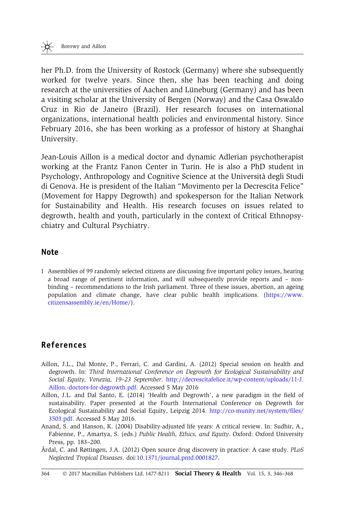<span id="page-18-0"></span>her Ph.D. from the University of Rostock (Germany) where she subsequently worked for twelve years. Since then, she has been teaching and doing research at the universities of Aachen and Lüneburg (Germany) and has been a visiting scholar at the University of Bergen (Norway) and the Casa Oswaldo Cruz in Rio de Janeiro (Brazil). Her research focuses on international organizations, international health policies and environmental history. Since February 2016, she has been working as a professor of history at Shanghai University.

Jean-Louis Aillon is a medical doctor and dynamic Adlerian psychotherapist working at the Frantz Fanon Center in Turin. He is also a PhD student in Psychology, Anthropology and Cognitive Science at the Universita` degli Studi di Genova. He is president of the Italian ''Movimento per la Decrescita Felice'' (Movement for Happy Degrowth) and spokesperson for the Italian Network for Sustainability and Health. His research focuses on issues related to degrowth, health and youth, particularly in the context of Critical Ethnopsychiatry and Cultural Psychiatry.

#### Note

1 Assemblies of 99 randomly selected citizens are discussing five important policy issues, hearing a broad range of pertinent information, and will subsequently provide reports and – nonbinding – recommendations to the Irish parliament. Three of these issues, abortion, an ageing population and climate change, have clear public health implications. ([https://www.](https://www.citizensassembly.ie/en/Home/) [citizensassembly.ie/en/Home/\)](https://www.citizensassembly.ie/en/Home/).

## References

- Aillon, J.L., Dal Monte, P., Ferrari, C. and Gardini, A. (2012) Special session on health and degrowth. In: Third International Conference on Degrowth for Ecological Sustainability and Social Equity, Venezia, 19–23 September. [http://decrescitafelice.it/wp-content/uploads/11-J.](http://decrescitafelice.it/wp-content/uploads/11-J.Aillon.-doctors-for-degrowth.pdf) [Aillon.-doctors-for-degrowth.pdf](http://decrescitafelice.it/wp-content/uploads/11-J.Aillon.-doctors-for-degrowth.pdf). Accessed 5 May 2016
- Aillon, J.L. and Dal Santo, E. (2014) 'Health and Degrowth', a new paradigm in the field of sustainability. Paper presented at the Fourth International Conference on Degrowth for Ecological Sustainability and Social Equity, Leipzig 2014. [http://co-munity.net/system/files/](http://co-munity.net/system/files/3503.pdf) [3503.pdf.](http://co-munity.net/system/files/3503.pdf) Accessed 5 May 2016.
- Anand, S. and Hanson, K. (2004) Disability-adjusted life years: A critical review. In: Sudhir, A., Fabienne, P., Amartya, S. (eds.) Public Health, Ethics, and Equity. Oxford: Oxford University Press, pp. 183–200.
- Årdal, C. and Røttingen, J.A. (2012) Open source drug discovery in practice: A case study. PLoS Neglected Tropical Diseases. doi[:10.1371/journal.pntd.0001827.](http://dx.doi.org/10.1371/journal.pntd.0001827)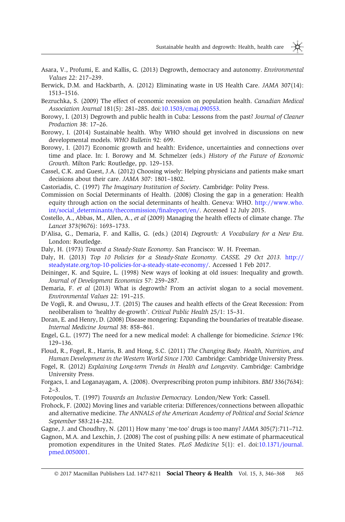- <span id="page-19-0"></span>Asara, V., Profumi, E. and Kallis, G. (2013) Degrowth, democracy and autonomy. Environmental Values 22: 217–239.
- Berwick, D.M. and Hackbarth, A. (2012) Eliminating waste in US Health Care. *JAMA* 307(14): 1513–1516.
- Bezruchka, S. (2009) The effect of economic recession on population health. Canadian Medical Association Journal 181(5): 281–285. doi:[10.1503/cmaj.090553](http://dx.doi.org/10.1503/cmaj.090553).
- Borowy, I. (2013) Degrowth and public health in Cuba: Lessons from the past? Journal of Cleaner Production 38: 17–26.
- Borowy, I. (2014) Sustainable health. Why WHO should get involved in discussions on new developmental models. WHO Bulletin 92: 699.
- Borowy, I. (2017) Economic growth and health: Evidence, uncertainties and connections over time and place. In: I. Borowy and M. Schmelzer (eds.) History of the Future of Economic Growth. Milton Park: Routledge, pp. 129–153.
- Cassel, C.K. and Guest, J.A. (2012) Choosing wisely: Helping physicians and patients make smart decisions about their care. JAMA 307: 1801–1802.
- Castoriadis, C. (1997) The Imaginary Institution of Society. Cambridge: Polity Press.
- Commission on Social Determinants of Health. (2008) Closing the gap in a generation: Health equity through action on the social determinants of health. Geneva: WHO. [http://www.who.](http://www.who.int/social_determinants/thecommission/finalreport/en/) [int/social\\_determinants/thecommission/finalreport/en/](http://www.who.int/social_determinants/thecommission/finalreport/en/). Accessed 12 July 2015.
- Costello, A., Abbas, M., Allen, A., et al (2009) Managing the health effects of climate change. The Lancet 373(9676): 1693–1733.
- D'Alisa, G., Demaria, F. and Kallis, G. (eds.) (2014) Degrowth: A Vocabulary for a New Era. London: Routledge.
- Daly, H. (1973) Toward a Steady-State Economy. San Francisco: W. H. Freeman.
- Daly, H. (2013) Top 10 Policies for a Steady-State Economy. CASSE. 29 Oct 2013. [http://](http://steadystate.org/top-10-policies-for-a-steady-state-economy/) [steadystate.org/top-10-policies-for-a-steady-state-economy/.](http://steadystate.org/top-10-policies-for-a-steady-state-economy/) Accessed 1 Feb 2017.
- Deininger, K. and Squire, L. (1998) New ways of looking at old issues: Inequality and growth. Journal of Development Economics 57: 259–287.
- Demaria, F. et al (2013) What is degrowth? From an activist slogan to a social movement. Environmental Values 22: 191–215.
- De Vogli, R. and Owusu, J.T. (2015) The causes and health effects of the Great Recession: From neoliberalism to 'healthy de-growth'. Critical Public Health 25/1: 15–31.
- Doran, E. and Henry, D. (2008) Disease mongering: Expanding the boundaries of treatable disease. Internal Medicine Journal 38: 858–861.
- Engel, G.L. (1977) The need for a new medical model: A challenge for biomedicine. Science 196: 129–136.
- Floud, R., Fogel, R., Harris, B. and Hong, S.C. (2011) The Changing Body. Health, Nutrition, and Human Development in the Western World Since 1700. Cambridge: Cambridge University Press.
- Fogel, R. (2012) Explaining Long-term Trends in Health and Longevity. Cambridge: Cambridge University Press.
- Forgacs, I. and Loganayagam, A. (2008). Overprescribing proton pump inhibitors. BMJ 336(7634):  $2 - 3$ .
- Fotopoulos, T. (1997) Towards an Inclusive Democracy. London/New York: Cassell.
- Frohock, F. (2002) Moving lines and variable criteria: Differences/connections between allopathic and alternative medicine. The ANNALS of the American Academy of Political and Social Science September 583:214–232.
- Gagne, J. and Choudhry, N. (2011) How many 'me-too' drugs is too many? JAMA 305(7):711–712.
- Gagnon, M.A. and Lexchin, J. (2008) The cost of pushing pills: A new estimate of pharmaceutical promotion expenditures in the United States. PLoS Medicine 5(1): e1. doi:[10.1371/journal.](http://dx.doi.org/10.1371/journal.pmed.0050001) [pmed.0050001](http://dx.doi.org/10.1371/journal.pmed.0050001).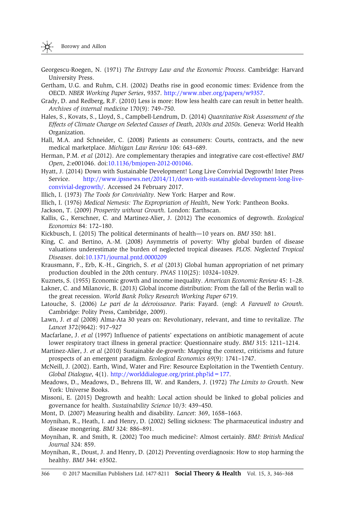- <span id="page-20-0"></span>Georgescu-Roegen, N. (1971) The Entropy Law and the Economic Process. Cambridge: Harvard University Press.
- Gertham, U.G. and Ruhm, C.H. (2002) Deaths rise in good economic times: Evidence from the OECD. NBER Working Paper Series, 9357. <http://www.nber.org/papers/w9357>.
- Grady, D. and Redberg, R.F. (2010) Less is more: How less health care can result in better health. Archives of internal medicine 170(9): 749–750.
- Hales, S., Kovats, S., Lloyd, S., Campbell-Lendrum, D. (2014) Quantitative Risk Assessment of the Effects of Climate Change on Selected Causes of Death, 2030s and 2050s. Geneva: World Health Organization.
- Hall, M.A. and Schneider, C. (2008) Patients as consumers: Courts, contracts, and the new medical marketplace. Michigan Law Review 106: 643–689.
- Herman, P.M. et al (2012). Are complementary therapies and integrative care cost-effective? BMJ Open, 2:e001046. doi:[10.1136/bmjopen-2012-001046.](http://dx.doi.org/10.1136/bmjopen-2012-001046)
- Hyatt, J. (2014) Down with Sustainable Development! Long Live Convivial Degrowth! Inter Press Service. [http://www.ipsnews.net/2014/11/down-with-sustainable-development-long-live](http://www.ipsnews.net/2014/11/down-with-sustainable-development-long-live-convivial-degrowth/)[convivial-degrowth/](http://www.ipsnews.net/2014/11/down-with-sustainable-development-long-live-convivial-degrowth/). Accessed 24 February 2017.
- Illich, I. (1973) The Tools for Conviviality. New York: Harper and Row.

Illich, I. (1976) Medical Nemesis: The Expropriation of Health, New York: Pantheon Books.

- Jackson, T. (2009) Prosperity without Growth. London: Earthscan.
- Kallis, G., Kerschner, C. and Martinez-Alier, J. (2012) The economics of degrowth. Ecological Economics 84: 172–180.
- Kickbusch, I. (2015) The political determinants of health—10 years on. BMJ 350: h81.
- King, C. and Bertino, A.-M. (2008) Asymmetris of poverty: Why global burden of disease valuations underestimate the burden of neglected tropical diseases. PLOS. Neglected Tropical Diseases. doi:[10.1371/journal.pntd.0000209](http://dx.doi.org/10.1371/journal.pntd.0000209)

Krausmann, F., Erb, K.-H., Gingrich, S. et al (2013) Global human appropriation of net primary production doubled in the 20th century. PNAS 110(25): 10324–10329.

- Kuznets, S. (1955) Economic growth and income inequality. American Economic Review 45: 1–28.
- Lakner, C. and Milanovic, B. (2013) Global income distribution: From the fall of the Berlin wall to the great recession. World Bank Policy Research Working Paper 6719.
- Latouche, S. (2006) Le pari de la décroissance. Paris: Fayard. (engl: A Farewell to Growth. Cambridge: Polity Press, Cambridge, 2009).
- Lawn, J. et al (2008) Alma-Ata 30 years on: Revolutionary, relevant, and time to revitalize. The Lancet 372(9642): 917–927
- Macfarlane, J. et al (1997) Influence of patients' expectations on antibiotic management of acute lower respiratory tract illness in general practice: Questionnaire study. BMJ 315: 1211–1214.
- Martinez-Alier, J. et al (2010) Sustainable de-growth: Mapping the context, criticisms and future prospects of an emergent paradigm. Ecological Economics 69(9): 1741–1747.
- McNeill, J. (2002). Earth, Wind, Water and Fire: Resource Exploitation in the Twentieth Century. Global Dialogue, 4(1). <http://worlddialogue.org/print.php?id=177>.
- Meadows, D., Meadows, D., Behrens III, W. and Randers, J. (1972) The Limits to Growth. New York: Universe Books.
- Missoni, E. (2015) Degrowth and health: Local action should be linked to global policies and governance for health. Sustainability Science 10/3: 439–450.
- Mont, D. (2007) Measuring health and disability. Lancet: 369, 1658–1663.
- Moynihan, R., Heath, I. and Henry, D. (2002) Selling sickness: The pharmaceutical industry and disease mongering. BMJ 324: 886–891.
- Moynihan, R. and Smith, R. (2002) Too much medicine?: Almost certainly. BMJ: British Medical Journal 324: 859.
- Moynihan, R., Doust, J. and Henry, D. (2012) Preventing overdiagnosis: How to stop harming the healthy. BMJ 344: e3502.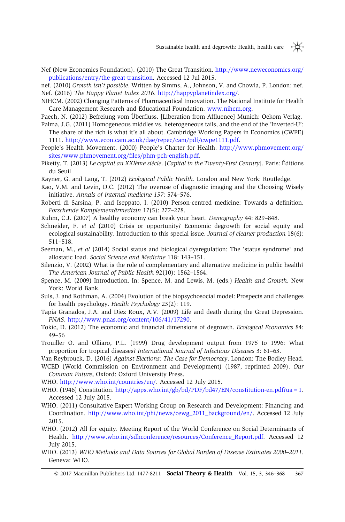- <span id="page-21-0"></span>Nef (New Economics Foundation). (2010) The Great Transition. [http://www.neweconomics.org/](http://www.neweconomics.org/publications/entry/the-great-transition) [publications/entry/the-great-transition.](http://www.neweconomics.org/publications/entry/the-great-transition) Accessed 12 Jul 2015.
- nef. (2010) Growth isn't possible. Written by Simms, A., Johnson, V. and Chowla, P. London: nef. Nef. (2016) The Happy Planet Index 2016. <http://happyplanetindex.org/>.
- NIHCM. (2002) Changing Patterns of Pharmaceutical Innovation. The National Institute for Health Care Management Research and Educational Foundation. [www.nihcm.org](http://www.nihcm.org).
- Paech, N. (2012) Befreiung vom Überfluss. [Liberation from Affluence] Munich: Oekom Verlag.
- Palma, J.G. (2011) Homogeneous middles vs. heterogeneous tails, and the end of the 'Inverted-U': The share of the rich is what it's all about. Cambridge Working Papers in Economics (CWPE) 1111. <http://www.econ.cam.ac.uk/dae/repec/cam/pdf/cwpe1111.pdf>.
- People's Health Movement. (2000) People's Charter for Health. [http://www.phmovement.org/](http://www.phmovement.org/sites/www.phmovement.org/files/phm-pch-english.pdf) [sites/www.phmovement.org/files/phm-pch-english.pdf](http://www.phmovement.org/sites/www.phmovement.org/files/phm-pch-english.pdf).
- Piketty, T. (2013) Le capital au XXIème siècle. [Capital in the Twenty-First Century]. Paris: Éditions du Seuil
- Rayner, G. and Lang, T. (2012) Ecological Public Health. London and New York: Routledge.
- Rao, V.M. and Levin, D.C. (2012) The overuse of diagnostic imaging and the Choosing Wisely initiative. Annals of internal medicine 157: 574–576.
- Roberti di Sarsina, P. and Iseppato, I. (2010) Person-centred medicine: Towards a definition. Forschende Komplementärmedizin 17(5): 277–278.
- Ruhm, C.J. (2007) A healthy economy can break your heart. Demography 44: 829–848.
- Schneider, F. et al (2010) Crisis or opportunity? Economic degrowth for social equity and ecological sustainability. Introduction to this special issue. Journal of cleaner production 18(6): 511–518.
- Seeman, M., et al (2014) Social status and biological dysregulation: The 'status syndrome' and allostatic load. Social Science and Medicine 118: 143–151.
- Silenzio, V. (2002) What is the role of complementary and alternative medicine in public health? The American Journal of Public Health 92(10): 1562–1564.
- Spence, M. (2009) Introduction. In: Spence, M. and Lewis, M. (eds.) Health and Growth. New York: World Bank.
- Suls, J. and Rothman, A. (2004) Evolution of the biopsychosocial model: Prospects and challenges for health psychology. Health Psychology 23(2): 119.
- Tapia Granados, J.A. and Diez Roux, A.V. (2009) Life and death during the Great Depression. PNAS. [http://www.pnas.org/content/106/41/17290.](http://www.pnas.org/content/106/41/17290)
- Tokic, D. (2012) The economic and financial dimensions of degrowth. Ecological Economics 84: 49–56
- Trouiller O. and Olliaro, P.L. (1999) Drug development output from 1975 to 1996: What proportion for tropical diseases? International Journal of Infectious Diseases 3: 61–63.
- Van Reybrouck, D. (2016) Against Elections: The Case for Democracy. London: The Bodley Head.
- WCED (World Commission on Environment and Development) (1987, reprinted 2009). Our Common Future, Oxford: Oxford University Press.
- WHO. [http://www.who.int/countries/en/.](http://www.who.int/countries/en/) Accessed 12 July 2015.
- WHO. (1946) Constitution. [http://apps.who.int/gb/bd/PDF/bd47/EN/constitution-en.pdf?ua=1.](http://apps.who.int/gb/bd/PDF/bd47/EN/constitution-en.pdf%3fua%3d1) Accessed 12 July 2015.
- WHO. (2011) Consultative Expert Working Group on Research and Development: Financing and Coordination. [http://www.who.int/phi/news/cewg\\_2011\\_background/en/.](http://www.who.int/phi/news/cewg_2011_background/en/) Accessed 12 July 2015.
- WHO. (2012) All for equity. Meeting Report of the World Conference on Social Determinants of Health. [http://www.who.int/sdhconference/resources/Conference\\_Report.pdf](http://www.who.int/sdhconference/resources/Conference_Report.pdf). Accessed 12 July 2015.
- WHO. (2013) WHO Methods and Data Sources for Global Burden of Disease Estimates 2000–2011. Geneva: WHO.